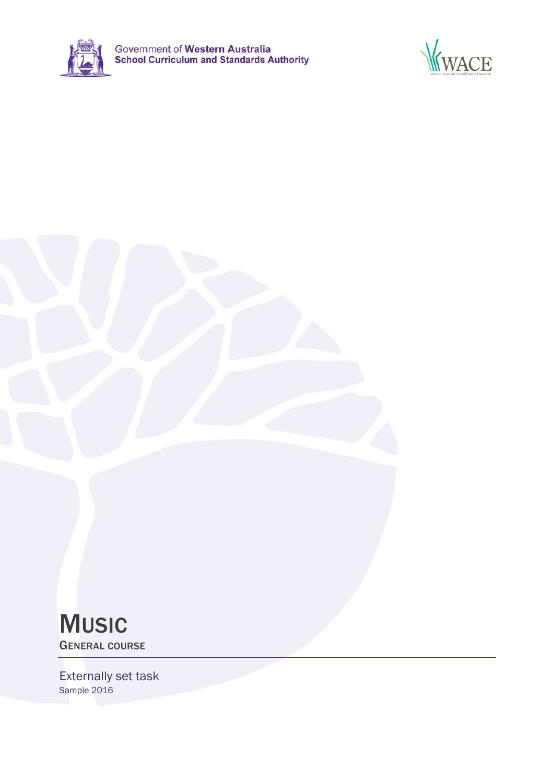



# **MUSIC** GENERAL COURSE

Externally set task Sample 2016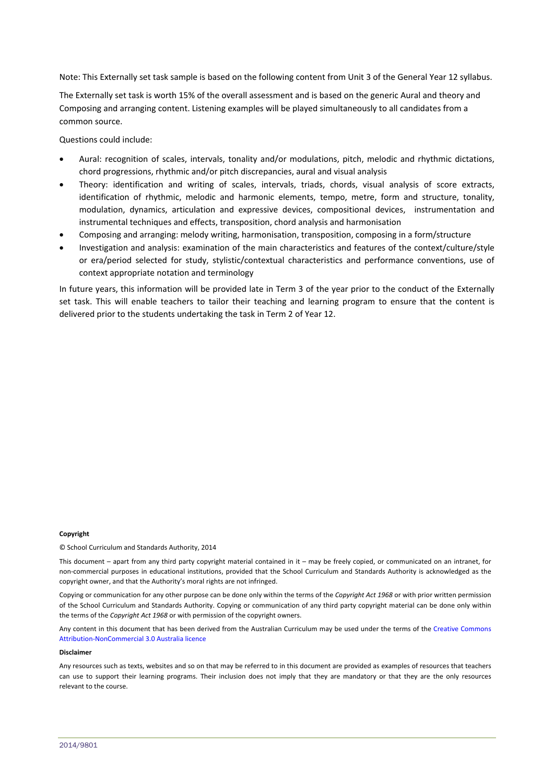Note: This Externally set task sample is based on the following content from Unit 3 of the General Year 12 syllabus.

The Externally set task is worth 15% of the overall assessment and is based on the generic Aural and theory and Composing and arranging content. Listening examples will be played simultaneously to all candidates from a common source.

Questions could include:

- Aural: recognition of scales, intervals, tonality and/or modulations, pitch, melodic and rhythmic dictations, chord progressions, rhythmic and/or pitch discrepancies, aural and visual analysis
- Theory: identification and writing of scales, intervals, triads, chords, visual analysis of score extracts, identification of rhythmic, melodic and harmonic elements, tempo, metre, form and structure, tonality, modulation, dynamics, articulation and expressive devices, compositional devices, instrumentation and instrumental techniques and effects, transposition, chord analysis and harmonisation
- Composing and arranging: melody writing, harmonisation, transposition, composing in a form/structure
- Investigation and analysis: examination of the main characteristics and features of the context/culture/style or era/period selected for study, stylistic/contextual characteristics and performance conventions, use of context appropriate notation and terminology

In future years, this information will be provided late in Term 3 of the year prior to the conduct of the Externally set task. This will enable teachers to tailor their teaching and learning program to ensure that the content is delivered prior to the students undertaking the task in Term 2 of Year 12.

### **Copyright**

© School Curriculum and Standards Authority, 2014

This document – apart from any third party copyright material contained in it – may be freely copied, or communicated on an intranet, for non‐commercial purposes in educational institutions, provided that the School Curriculum and Standards Authority is acknowledged as the copyright owner, and that the Authority's moral rights are not infringed.

Copying or communication for any other purpose can be done only within the terms of the *Copyright Act 1968* or with prior written permission of the School Curriculum and Standards Authority. Copying or communication of any third party copyright material can be done only within the terms of the *Copyright Act 1968* or with permission of the copyright owners.

Any content in this document that has been derived from the Australian Curriculum may be used under the terms of the Creative Commons Attribution‐NonCommercial 3.0 Australia licence

### **Disclaimer**

Any resources such as texts, websites and so on that may be referred to in this document are provided as examples of resources that teachers can use to support their learning programs. Their inclusion does not imply that they are mandatory or that they are the only resources relevant to the course.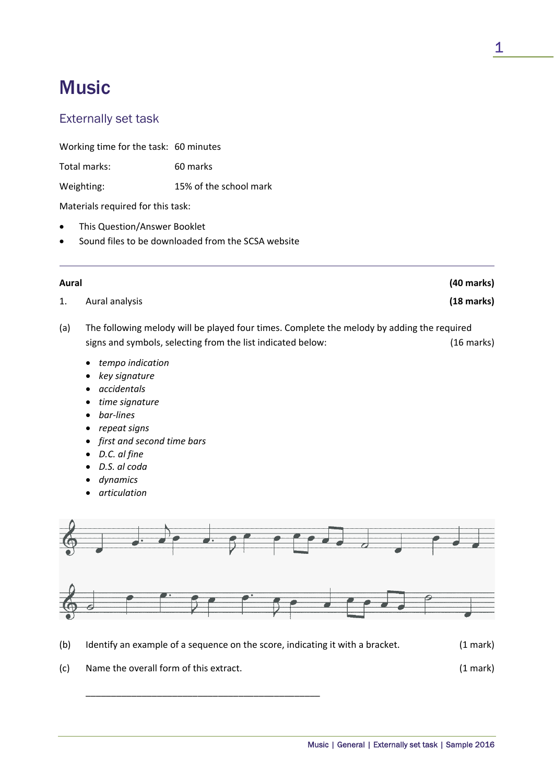# **Music**

# Externally set task

Working time for the task: 60 minutes

Total marks: 60 marks

Weighting: 15% of the school mark

Materials required for this task:

- This Question/Answer Booklet
- Sound files to be downloaded from the SCSA website

| Aural |                                                                                                                                                                         | (40 marks) |
|-------|-------------------------------------------------------------------------------------------------------------------------------------------------------------------------|------------|
| 1.    | Aural analysis                                                                                                                                                          | (18 marks) |
| (a)   | The following melody will be played four times. Complete the melody by adding the required<br>signs and symbols, selecting from the list indicated below:<br>(16 marks) |            |
|       | • tempo indication<br>key signature<br>$\bullet$<br>accidentals<br>$\bullet$<br>time signature                                                                          |            |

- *bar‐lines*
- *repeat signs*
- *first and second time bars*
- *D.C. al fine*
- *D.S. al coda*
- *dynamics*
- *articulation*



- (b) Identify an example of a sequence on the score, indicating it with a bracket. (1 mark)
- (c) Name the overall form of this extract. (1 mark)

\_\_\_\_\_\_\_\_\_\_\_\_\_\_\_\_\_\_\_\_\_\_\_\_\_\_\_\_\_\_\_\_\_\_\_\_\_\_\_\_\_\_\_\_\_\_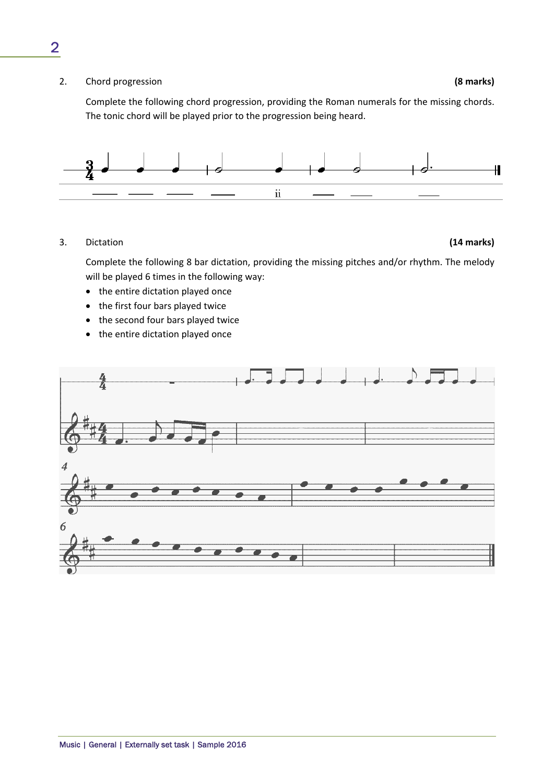2. Chord progression **(8 marks)**

Complete the following chord progression, providing the Roman numerals for the missing chords. The tonic chord will be played prior to the progression being heard.



## 3. Dictation **(14 marks)**

Complete the following 8 bar dictation, providing the missing pitches and/or rhythm. The melody will be played 6 times in the following way:

- the entire dictation played once
- the first four bars played twice
- the second four bars played twice
- the entire dictation played once



2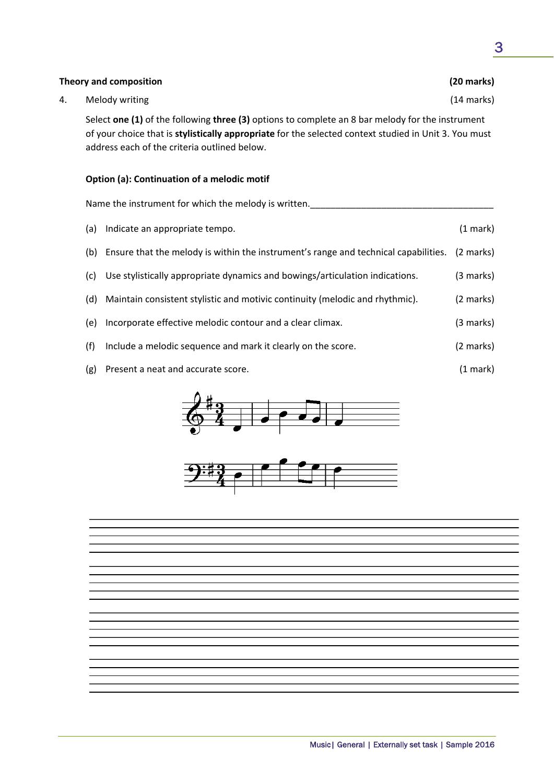| Select one (1) of the following three (3) options to complete an 8 bar melody for the instrument<br>of your choice that is <b>stylistically appropriate</b> for the selected context studied in Unit 3. You must<br>address each of the criteria outlined below. |           |  |  |
|------------------------------------------------------------------------------------------------------------------------------------------------------------------------------------------------------------------------------------------------------------------|-----------|--|--|
| Option (a): Continuation of a melodic motif                                                                                                                                                                                                                      |           |  |  |
| Name the instrument for which the melody is written.                                                                                                                                                                                                             |           |  |  |
| Indicate an appropriate tempo.<br>(a)                                                                                                                                                                                                                            | (1 mark)  |  |  |
| Ensure that the melody is within the instrument's range and technical capabilities.<br>(b)                                                                                                                                                                       | (2 marks) |  |  |

- (c) Use stylistically appropriate dynamics and bowings/articulation indications. (3 marks)
- (d) Maintain consistent stylistic and motivic continuity (melodic and rhythmic). (2 marks)
- (e) Incorporate effective melodic contour and a clear climax. (3 marks)
- (f) Include a melodic sequence and mark it clearly on the score. (2 marks)
- (g) Present a neat and accurate score. (1 mark)





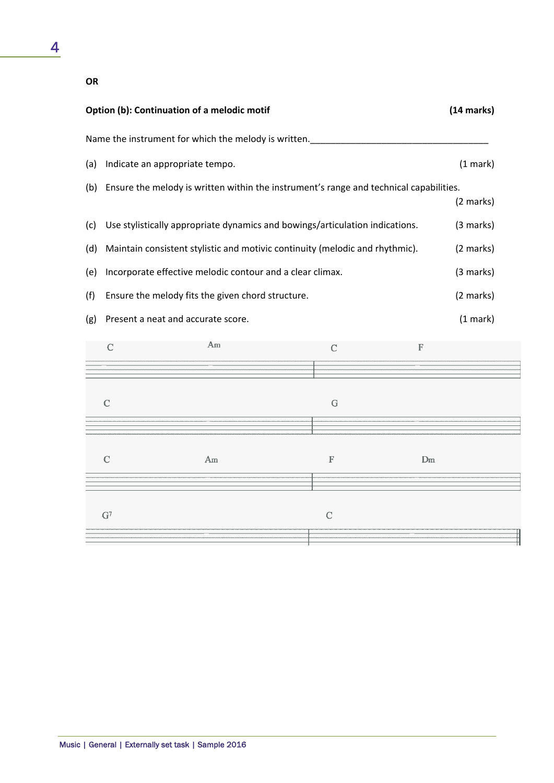## **OR**

| Option (b): Continuation of a melodic motif          |                                                                                        |             |             | (14 marks) |
|------------------------------------------------------|----------------------------------------------------------------------------------------|-------------|-------------|------------|
| Name the instrument for which the melody is written. |                                                                                        |             |             |            |
| (a)                                                  | Indicate an appropriate tempo.                                                         |             |             | (1 mark)   |
| (b)                                                  | Ensure the melody is written within the instrument's range and technical capabilities. |             |             |            |
|                                                      |                                                                                        |             |             | (2 marks)  |
| (c)                                                  | Use stylistically appropriate dynamics and bowings/articulation indications.           |             |             | (3 marks)  |
| (d)                                                  | Maintain consistent stylistic and motivic continuity (melodic and rhythmic).           |             |             | (2 marks)  |
| (e)                                                  | Incorporate effective melodic contour and a clear climax.                              |             |             | (3 marks)  |
| (f)                                                  | Ensure the melody fits the given chord structure.                                      |             |             | (2 marks)  |
| (g)                                                  | Present a neat and accurate score.                                                     |             |             | (1 mark)   |
|                                                      | Am<br>$\overline{C}$                                                                   | $\mathbf C$ | $\mathbb F$ |            |
|                                                      |                                                                                        |             |             |            |
|                                                      | $\mathcal{C}$                                                                          | G           |             |            |
|                                                      |                                                                                        |             |             |            |

| Am | m | Jm |
|----|---|----|
|    |   |    |
|    |   |    |
|    |   |    |
|    |   |    |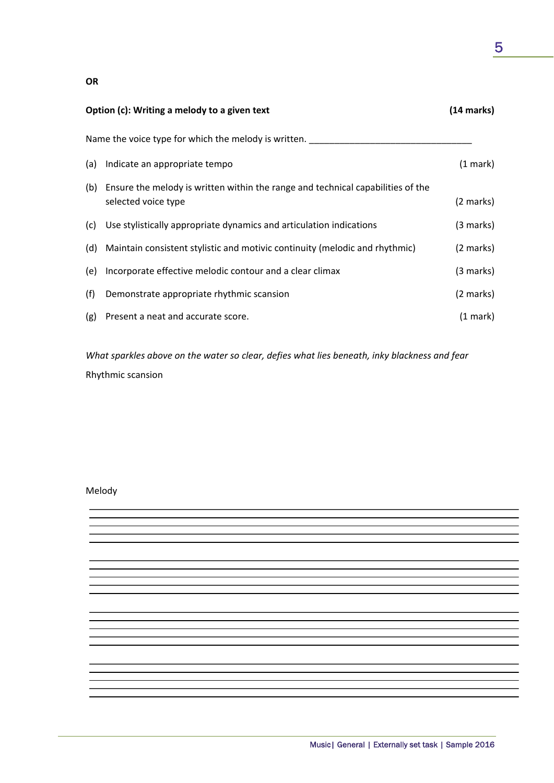|                                                      | Option (c): Writing a melody to a given text                                                               | (14 marks)          |  |
|------------------------------------------------------|------------------------------------------------------------------------------------------------------------|---------------------|--|
| Name the voice type for which the melody is written. |                                                                                                            |                     |  |
|                                                      | (a) Indicate an appropriate tempo                                                                          | (1 mark)            |  |
|                                                      | (b) Ensure the melody is written within the range and technical capabilities of the<br>selected voice type | (2 marks)           |  |
|                                                      | (c) Use stylistically appropriate dynamics and articulation indications                                    | $(3 \text{ marks})$ |  |
|                                                      | (d) Maintain consistent stylistic and motivic continuity (melodic and rhythmic)                            | (2 marks)           |  |
| (e)                                                  | Incorporate effective melodic contour and a clear climax                                                   | (3 marks)           |  |
| (f)                                                  | Demonstrate appropriate rhythmic scansion                                                                  | $(2 \text{ marks})$ |  |
| (g)                                                  | Present a neat and accurate score.                                                                         | $(1 \text{ mark})$  |  |
|                                                      |                                                                                                            |                     |  |

*What sparkles above on the water so clear, defies what lies beneath, inky blackness and fear* Rhythmic scansion

Melody